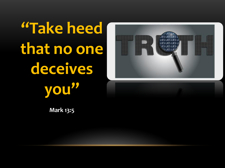**"Take heed that no one deceives you"**



**Mark 13:5**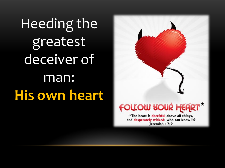Heeding the greatest deceiver of man: **His own heart**



\*The heart is deceitful above all things, and desperately wicked: who can know it? Jeremiah 17:9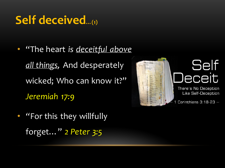# **Self deceived…(1)**

• "The heart *is deceitful above all things,* And desperately wicked; Who can know it?" *Jeremiah 17:9*

• *"*For this they willfully forget…" *2 Peter 3:5*

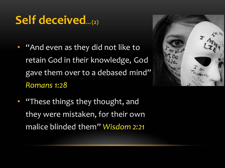## **Self deceived…(2)**

• "And even as they did not like to retain God in *their* knowledge, God gave them over to a debased mind" *Romans 1:28*



*"These things they thought, and* they were mistaken, for their own malice blinded them" *Wisdom 2:21*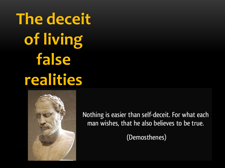**The deceit of living false realities**



Nothing is easier than self-deceit. For what each man wishes, that he also believes to be true.

(Demosthenes)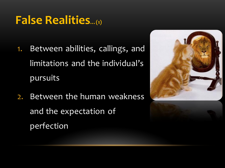### **False Realities…(1)**

- 1. Between abilities, callings, and limitations and the individual's pursuits
- 2. Between the human weakness and the expectation of perfection

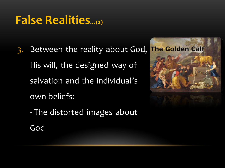## **False Realities…(2)**

- 3. Between the reality about God, His will, the designed way of salvation and the individual's own beliefs:
	- The distorted images about God

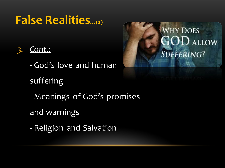#### **False Realities…(2)**

#### *3. Cont.:*

- God's love and human

#### suffering

- Meanings of God's promises
- and warnings
- Religion and Salvation

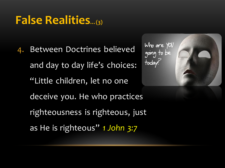#### **False Realities…(3)**

4. Between Doctrines believed and day to day life's choices: "Little children, let no one deceive you. He who practices righteousness is righteous, just as He is righteous" *1 John 3:7*

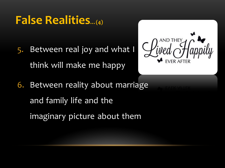#### **False Realities…(4)**

5. Between real joy and what I think will make me happy



6. Between reality about marriage and family life and the imaginary picture about them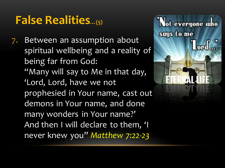#### **False Realities…(5)**

7. Between an assumption about spiritual wellbeing and a reality of being far from God: "Many will say to Me in that day, 'Lord, Lord, have we not prophesied in Your name, cast out demons in Your name, and done many wonders in Your name?' And then I will declare to them, 'I never knew you" *Matthew 7:22-23*

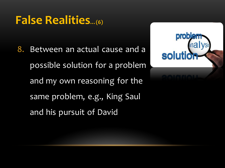#### **False Realities…(6)**

8. Between an actual cause and a possible solution for a problem and my own reasoning for the same problem, e.g., King Saul and his pursuit of David

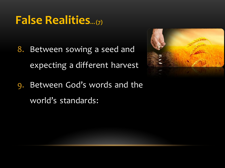#### **False Realities…(7)**

8. Between sowing a seed and expecting a different harvest



9. Between God's words and the world's standards: